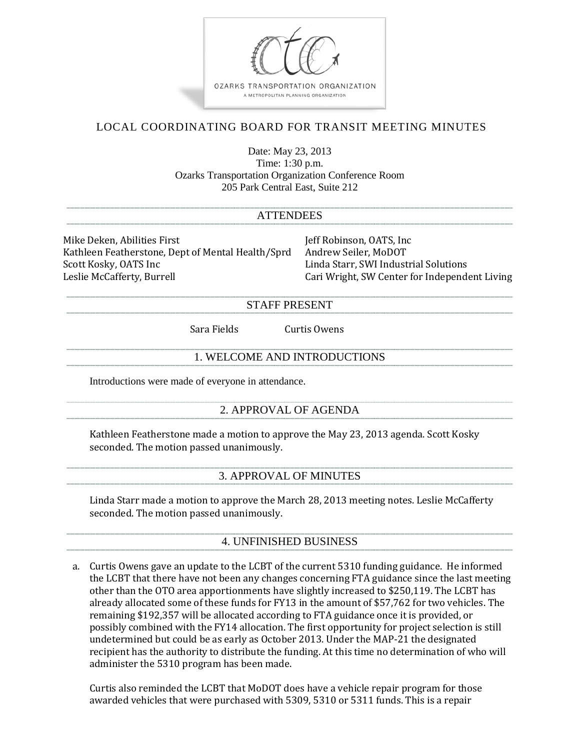

# LOCAL COORDINATING BOARD FOR TRANSIT MEETING MINUTES

Date: May 23, 2013 Time: 1:30 p.m. Ozarks Transportation Organization Conference Room 205 Park Central East, Suite 212

#### **ATTENDEES**

Mike Deken, Abilities First [18] Jeff Robinson, OATS, Inc<br>Kathleen Featherstone. Dept of Mental Health/Sprd [18] Andrew Seiler. MoDOT Kathleen Featherstone, Dept of Mental Health/Sprd<br>Scott Kosky, OATS Inc Scott Kosky, OATS Inc<br>
Linda Starr, SWI Industrial Solutions<br>
Cari Wright, SW Center for Independent Superioristy Cari Wright, SW Center for Independent Superioristy Cari Wright, SW Center for Independent Superioristy Cari

Cari Wright, SW Center for Independent Living

#### STAFF PRESENT

Sara Fields Curtis Owens

### 1. WELCOME AND INTRODUCTIONS

Introductions were made of everyone in attendance.

## 2. APPROVAL OF AGENDA

Kathleen Featherstone made a motion to approve the May 23, 2013 agenda. Scott Kosky seconded. The motion passed unanimously.

#### 3. APPROVAL OF MINUTES

Linda Starr made a motion to approve the March 28, 2013 meeting notes. Leslie McCafferty seconded. The motion passed unanimously.

## 4. UNFINISHED BUSINESS

a. Curtis Owens gave an update to the LCBT of the current 5310 funding guidance. He informed the LCBT that there have not been any changes concerning FTA guidance since the last meeting other than the OTO area apportionments have slightly increased to \$250,119. The LCBT has already allocated some of these funds for FY13 in the amount of \$57,762 for two vehicles. The remaining \$192,357 will be allocated according to FTA guidance once it is provided, or possibly combined with the FY14 allocation. The first opportunity for project selection is still undetermined but could be as early as October 2013. Under the MAP-21 the designated recipient has the authority to distribute the funding. At this time no determination of who will administer the 5310 program has been made.

Curtis also reminded the LCBT that MoDOT does have a vehicle repair program for those awarded vehicles that were purchased with 5309, 5310 or 5311 funds. This is a repair